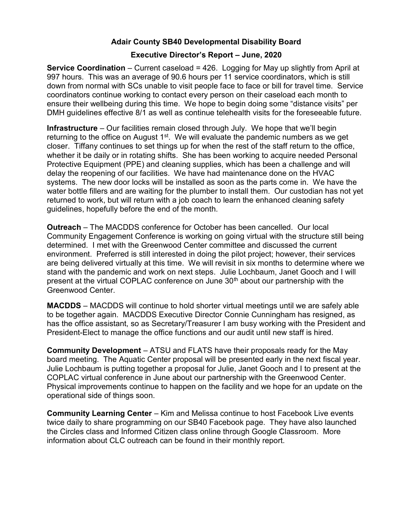## Adair County SB40 Developmental Disability Board

## Executive Director's Report – June, 2020

**Service Coordination** – Current caseload =  $426$ . Logging for May up slightly from April at 997 hours. This was an average of 90.6 hours per 11 service coordinators, which is still down from normal with SCs unable to visit people face to face or bill for travel time. Service coordinators continue working to contact every person on their caseload each month to ensure their wellbeing during this time. We hope to begin doing some "distance visits" per DMH guidelines effective 8/1 as well as continue telehealth visits for the foreseeable future.

Infrastructure – Our facilities remain closed through July. We hope that we'll begin returning to the office on August  $1<sup>st</sup>$ . We will evaluate the pandemic numbers as we get closer. Tiffany continues to set things up for when the rest of the staff return to the office, whether it be daily or in rotating shifts. She has been working to acquire needed Personal Protective Equipment (PPE) and cleaning supplies, which has been a challenge and will delay the reopening of our facilities. We have had maintenance done on the HVAC systems. The new door locks will be installed as soon as the parts come in. We have the water bottle fillers and are waiting for the plumber to install them. Our custodian has not yet returned to work, but will return with a job coach to learn the enhanced cleaning safety guidelines, hopefully before the end of the month.

Outreach – The MACDDS conference for October has been cancelled. Our local Community Engagement Conference is working on going virtual with the structure still being determined. I met with the Greenwood Center committee and discussed the current environment. Preferred is still interested in doing the pilot project; however, their services are being delivered virtually at this time. We will revisit in six months to determine where we stand with the pandemic and work on next steps. Julie Lochbaum, Janet Gooch and I will present at the virtual COPLAC conference on June 30<sup>th</sup> about our partnership with the Greenwood Center.

MACDDS – MACDDS will continue to hold shorter virtual meetings until we are safely able to be together again. MACDDS Executive Director Connie Cunningham has resigned, as has the office assistant, so as Secretary/Treasurer I am busy working with the President and President-Elect to manage the office functions and our audit until new staff is hired.

Community Development – ATSU and FLATS have their proposals ready for the May board meeting. The Aquatic Center proposal will be presented early in the next fiscal year. Julie Lochbaum is putting together a proposal for Julie, Janet Gooch and I to present at the COPLAC virtual conference in June about our partnership with the Greenwood Center. Physical improvements continue to happen on the facility and we hope for an update on the operational side of things soon.

Community Learning Center – Kim and Melissa continue to host Facebook Live events twice daily to share programming on our SB40 Facebook page. They have also launched the Circles class and Informed Citizen class online through Google Classroom. More information about CLC outreach can be found in their monthly report.